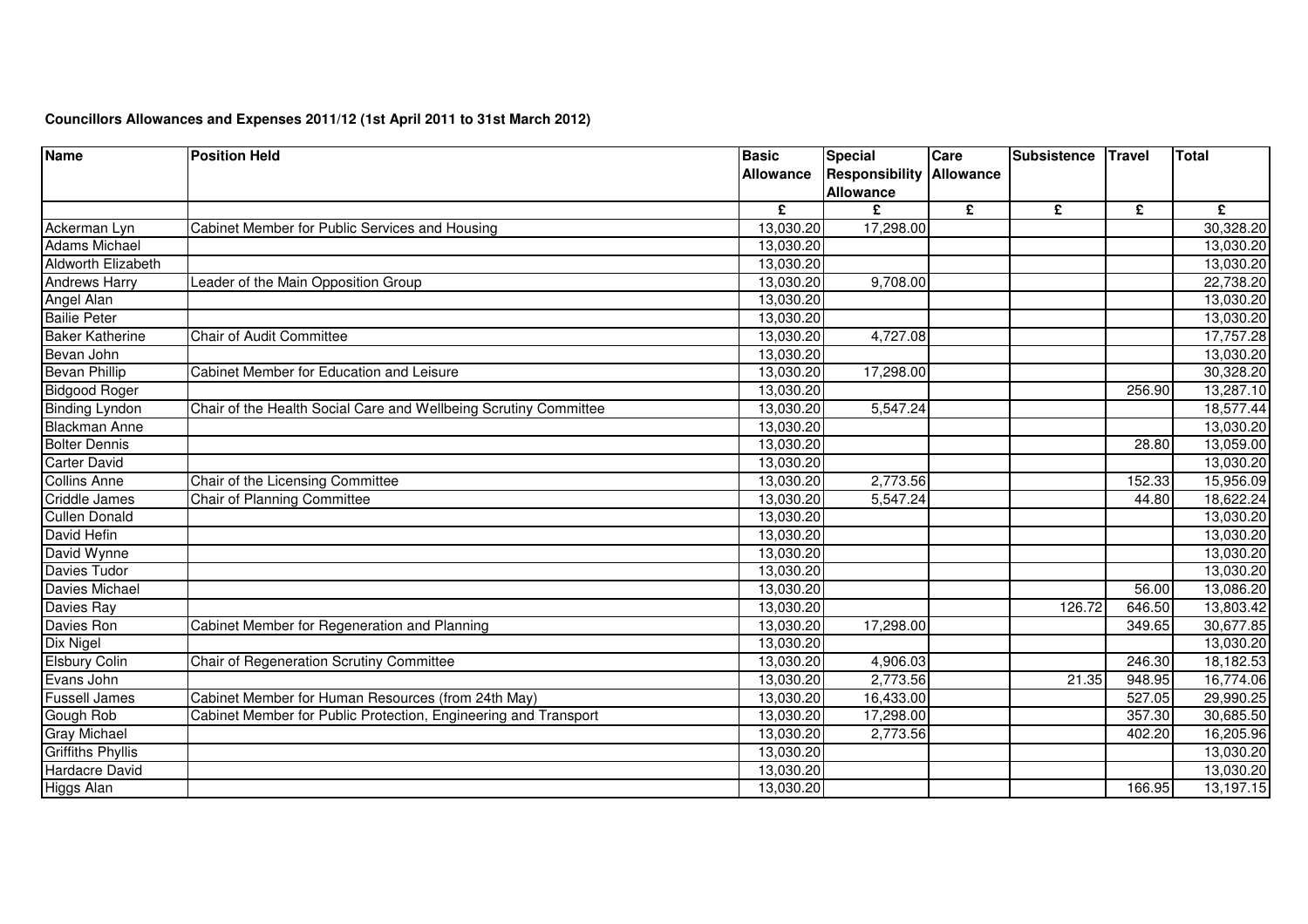| <b>Name</b>               | <b>Position Held</b>                                             | <b>Basic</b>     | <b>Special</b>                  | Care | Subsistence | <b>Travel</b> | <b>Total</b> |
|---------------------------|------------------------------------------------------------------|------------------|---------------------------------|------|-------------|---------------|--------------|
|                           |                                                                  | <b>Allowance</b> | <b>Responsibility Allowance</b> |      |             |               |              |
|                           |                                                                  |                  | <b>Allowance</b>                |      |             |               |              |
|                           |                                                                  | £                | £                               | £    | £           | £             | £            |
| Ackerman Lyn              | Cabinet Member for Public Services and Housing                   | 13,030.20        | 17,298.00                       |      |             |               | 30,328.20    |
| <b>Adams Michael</b>      |                                                                  | 13,030.20        |                                 |      |             |               | 13,030.20    |
| <b>Aldworth Elizabeth</b> |                                                                  | 13,030.20        |                                 |      |             |               | 13,030.20    |
| <b>Andrews Harry</b>      | Leader of the Main Opposition Group                              | 13,030.20        | 9,708.00                        |      |             |               | 22,738.20    |
| Angel Alan                |                                                                  | 13,030.20        |                                 |      |             |               | 13,030.20    |
| <b>Bailie Peter</b>       |                                                                  | 13,030.20        |                                 |      |             |               | 13,030.20    |
| <b>Baker Katherine</b>    | <b>Chair of Audit Committee</b>                                  | 13,030.20        | 4,727.08                        |      |             |               | 17,757.28    |
| Bevan John                |                                                                  | 13,030.20        |                                 |      |             |               | 13,030.20    |
| <b>Bevan Phillip</b>      | Cabinet Member for Education and Leisure                         | 13,030.20        | 17,298.00                       |      |             |               | 30,328.20    |
| Bidgood Roger             |                                                                  | 13,030.20        |                                 |      |             | 256.90        | 13,287.10    |
| <b>Binding Lyndon</b>     | Chair of the Health Social Care and Wellbeing Scrutiny Committee | 13,030.20        | 5,547.24                        |      |             |               | 18,577.44    |
| <b>Blackman Anne</b>      |                                                                  | 13,030.20        |                                 |      |             |               | 13,030.20    |
| <b>Bolter Dennis</b>      |                                                                  | 13,030.20        |                                 |      |             | 28.80         | 13,059.00    |
| <b>Carter David</b>       |                                                                  | 13,030.20        |                                 |      |             |               | 13,030.20    |
| <b>Collins Anne</b>       | Chair of the Licensing Committee                                 | 13,030.20        | 2,773.56                        |      |             | 152.33        | 15,956.09    |
| <b>Criddle James</b>      | <b>Chair of Planning Committee</b>                               | 13,030.20        | 5,547.24                        |      |             | 44.80         | 18,622.24    |
| <b>Cullen Donald</b>      |                                                                  | 13,030.20        |                                 |      |             |               | 13,030.20    |
| David Hefin               |                                                                  | 13,030.20        |                                 |      |             |               | 13,030.20    |
| David Wynne               |                                                                  | 13,030.20        |                                 |      |             |               | 13,030.20    |
| Davies Tudor              |                                                                  | 13,030.20        |                                 |      |             |               | 13,030.20    |
| Davies Michael            |                                                                  | 13,030.20        |                                 |      |             | 56.00         | 13,086.20    |
| Davies Ray                |                                                                  | 13,030.20        |                                 |      | 126.72      | 646.50        | 13,803.42    |
| Davies Ron                | Cabinet Member for Regeneration and Planning                     | 13,030.20        | 17,298.00                       |      |             | 349.65        | 30,677.85    |
| Dix Nigel                 |                                                                  | 13,030.20        |                                 |      |             |               | 13,030.20    |
| <b>Elsbury Colin</b>      | Chair of Regeneration Scrutiny Committee                         | 13,030.20        | 4,906.03                        |      |             | 246.30        | 18,182.53    |
| Evans John                |                                                                  | 13,030.20        | 2,773.56                        |      | 21.35       | 948.95        | 16,774.06    |
| <b>Fussell James</b>      | Cabinet Member for Human Resources (from 24th May)               | 13,030.20        | 16,433.00                       |      |             | 527.05        | 29,990.25    |
| Gough Rob                 | Cabinet Member for Public Protection, Engineering and Transport  | 13,030.20        | 17,298.00                       |      |             | 357.30        | 30,685.50    |
| <b>Gray Michael</b>       |                                                                  | 13,030.20        | 2,773.56                        |      |             | 402.20        | 16,205.96    |
| <b>Griffiths Phyllis</b>  |                                                                  | 13,030.20        |                                 |      |             |               | 13,030.20    |
| <b>Hardacre David</b>     |                                                                  | 13,030.20        |                                 |      |             |               | 13,030.20    |
| Higgs Alan                |                                                                  | 13,030.20        |                                 |      |             | 166.95        | 13,197.15    |

## **Councillors Allowances and Expenses 2011/12 (1st April 2011 to 31st March 2012)**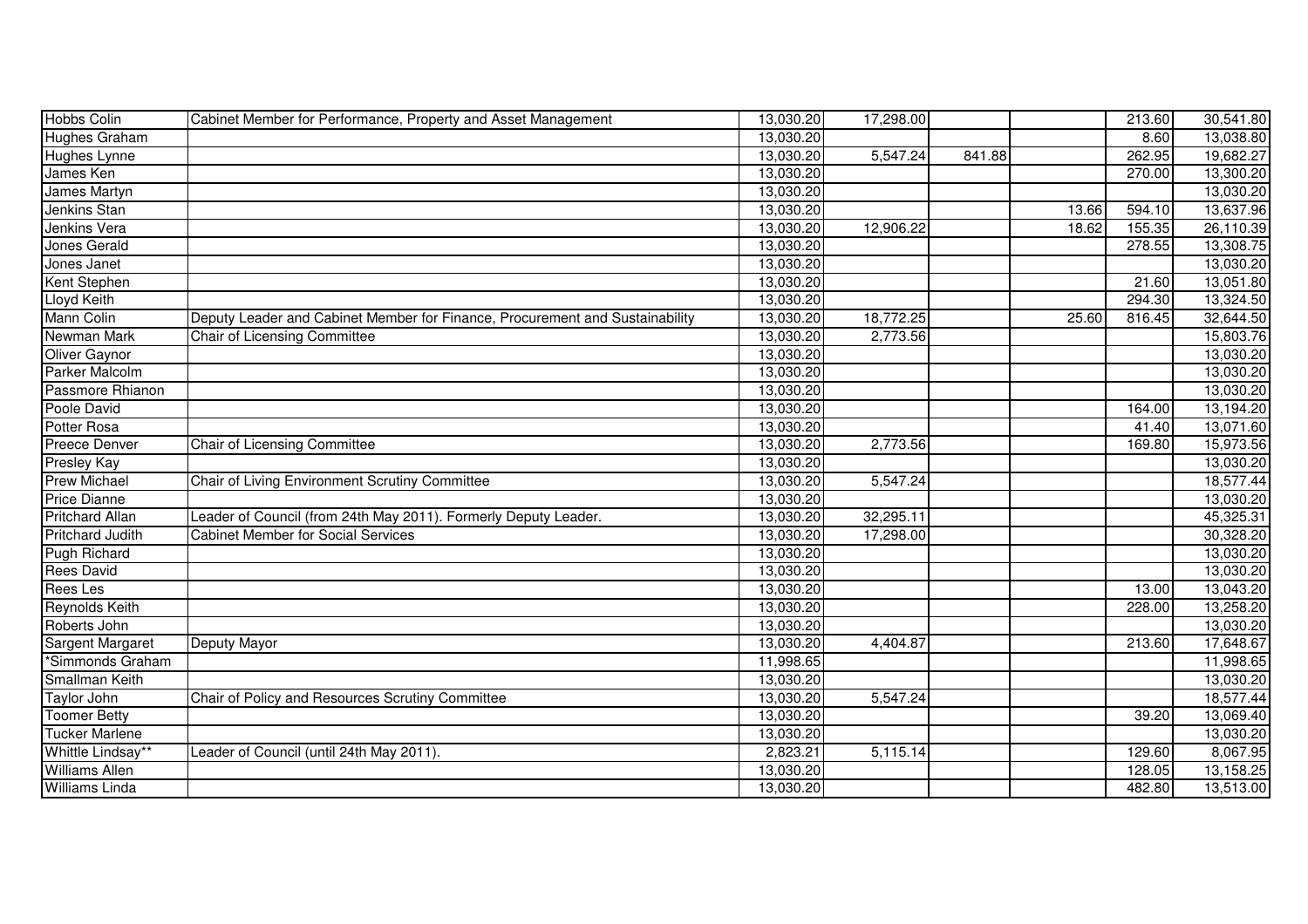| <b>Hobbs Colin</b>      | Cabinet Member for Performance, Property and Asset Management                | 13,030.20 | 17,298.00 |        |       | 213.60 | 30,541.80 |
|-------------------------|------------------------------------------------------------------------------|-----------|-----------|--------|-------|--------|-----------|
| Hughes Graham           |                                                                              | 13,030.20 |           |        |       | 8.60   | 13,038.80 |
| Hughes Lynne            |                                                                              | 13,030.20 | 5,547.24  | 841.88 |       | 262.95 | 19,682.27 |
| James Ken               |                                                                              | 13,030.20 |           |        |       | 270.00 | 13,300.20 |
| James Martyn            |                                                                              | 13,030.20 |           |        |       |        | 13,030.20 |
| Jenkins Stan            |                                                                              | 13,030.20 |           |        | 13.66 | 594.10 | 13,637.96 |
| Jenkins Vera            |                                                                              | 13,030.20 | 12,906.22 |        | 18.62 | 155.35 | 26,110.39 |
| Jones Gerald            |                                                                              | 13,030.20 |           |        |       | 278.55 | 13,308.75 |
| Jones Janet             |                                                                              | 13,030.20 |           |        |       |        | 13,030.20 |
| Kent Stephen            |                                                                              | 13,030.20 |           |        |       | 21.60  | 13,051.80 |
| Lloyd Keith             |                                                                              | 13,030.20 |           |        |       | 294.30 | 13,324.50 |
| Mann Colin              | Deputy Leader and Cabinet Member for Finance, Procurement and Sustainability | 13,030.20 | 18,772.25 |        | 25.60 | 816.45 | 32,644.50 |
| Newman Mark             | Chair of Licensing Committee                                                 | 13,030.20 | 2,773.56  |        |       |        | 15,803.76 |
| Oliver Gaynor           |                                                                              | 13,030.20 |           |        |       |        | 13,030.20 |
| Parker Malcolm          |                                                                              | 13,030.20 |           |        |       |        | 13,030.20 |
| Passmore Rhianon        |                                                                              | 13,030.20 |           |        |       |        | 13,030.20 |
| Poole David             |                                                                              | 13,030.20 |           |        |       | 164.00 | 13,194.20 |
| Potter Rosa             |                                                                              | 13,030.20 |           |        |       | 41.40  | 13,071.60 |
| <b>Preece Denver</b>    | Chair of Licensing Committee                                                 | 13,030.20 | 2,773.56  |        |       | 169.80 | 15,973.56 |
| <b>Presley Kay</b>      |                                                                              | 13,030.20 |           |        |       |        | 13,030.20 |
| <b>Prew Michael</b>     | Chair of Living Environment Scrutiny Committee                               | 13,030.20 | 5,547.24  |        |       |        | 18,577.44 |
| <b>Price Dianne</b>     |                                                                              | 13,030.20 |           |        |       |        | 13,030.20 |
| <b>Pritchard Allan</b>  | Leader of Council (from 24th May 2011). Formerly Deputy Leader.              | 13,030.20 | 32,295.11 |        |       |        | 45,325.31 |
| <b>Pritchard Judith</b> | <b>Cabinet Member for Social Services</b>                                    | 13,030.20 | 17,298.00 |        |       |        | 30,328.20 |
| Pugh Richard            |                                                                              | 13,030.20 |           |        |       |        | 13,030.20 |
| Rees David              |                                                                              | 13,030.20 |           |        |       |        | 13,030.20 |
| Rees Les                |                                                                              | 13,030.20 |           |        |       | 13.00  | 13,043.20 |
| Reynolds Keith          |                                                                              | 13,030.20 |           |        |       | 228.00 | 13,258.20 |
| Roberts John            |                                                                              | 13,030.20 |           |        |       |        | 13,030.20 |
| Sargent Margaret        | Deputy Mayor                                                                 | 13,030.20 | 4,404.87  |        |       | 213.60 | 17,648.67 |
| *Simmonds Graham        |                                                                              | 11,998.65 |           |        |       |        | 11,998.65 |
| Smallman Keith          |                                                                              | 13,030.20 |           |        |       |        | 13,030.20 |
| Taylor John             | Chair of Policy and Resources Scrutiny Committee                             | 13,030.20 | 5,547.24  |        |       |        | 18,577.44 |
| <b>Toomer Betty</b>     |                                                                              | 13,030.20 |           |        |       | 39.20  | 13,069.40 |
| <b>Tucker Marlene</b>   |                                                                              | 13,030.20 |           |        |       |        | 13,030.20 |
| Whittle Lindsay**       | Leader of Council (until 24th May 2011).                                     | 2,823.21  | 5,115.14  |        |       | 129.60 | 8,067.95  |
| <b>Williams Allen</b>   |                                                                              | 13,030.20 |           |        |       | 128.05 | 13,158.25 |
| <b>Williams Linda</b>   |                                                                              | 13,030.20 |           |        |       | 482.80 | 13,513.00 |